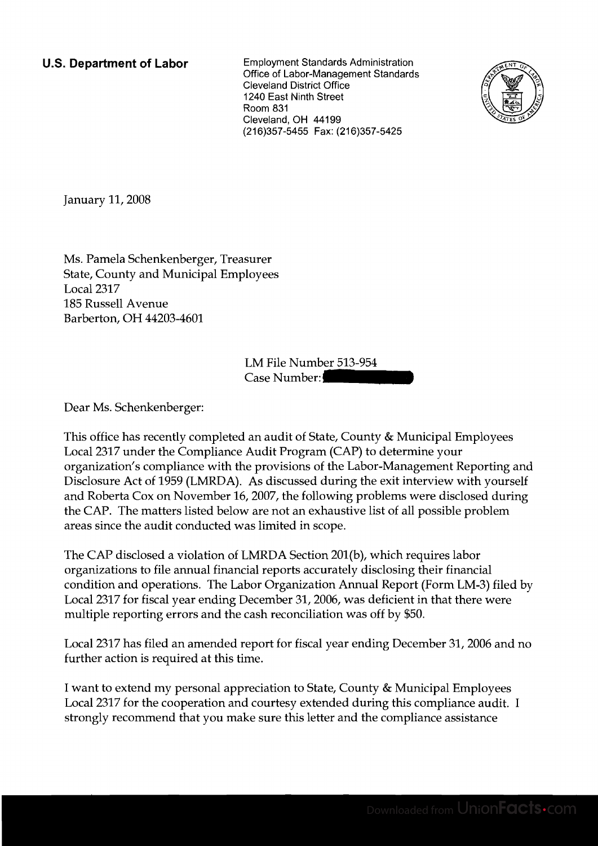**U.S. Department of Labor** Employment Standards Administration Office of Labor-Management Standards Cleveland District Office 1240 East Ninth Street Room 831 Cleveland, OH 44199 (216)357-5455 Fax: (216)357-5425



January 11, 2008

Ms. Pamela Schenkenberger, Treasurer State, County and Municipal Employees Local 2317 185 Russell Avenue Barberton, OH 44203-4601

LM File Number 513-954 surer<br>loyees<br>LM File Number: 513-954<br>Case Number:

Dear Ms. Schenkenberger:

This office has recently completed an audit of State, County & Municipal Employees Local 2317 under the Compliance Audit Program (CAP) to determine your organization's compliance with the provisions of the Labor-Management Reporting and Disclosure Act of 1959 (LMRDA). As discussed during the exit interview with yourself and Roberta Cox on November 16,2007, the following problems were disclosed during the CAP. The matters listed below are not an exhaustive list of all possible problem areas since the audit conducted was limited in scope.

The CAP disclosed a violation of LMRDA Section 201(b), which requires labor organizations to file annual financial reports accurately disclosing their financial condition and operations. The Labor Organization Annual Report (Form LM-3) filed by Local 2317 for fiscal year ending December 31,2006, was deficient in that there were multiple reporting errors and the cash reconciliation was off by \$50.

Local 2317 has filed an amended report for fiscal year ending December 31,2006 and no further action is required at this time.

I want to extend my personal appreciation to State, County & Municipal Employees Local 2317 for the cooperation and courtesy extended during this compliance audit. I strongly recommend that you make sure this letter and the compliance assistance